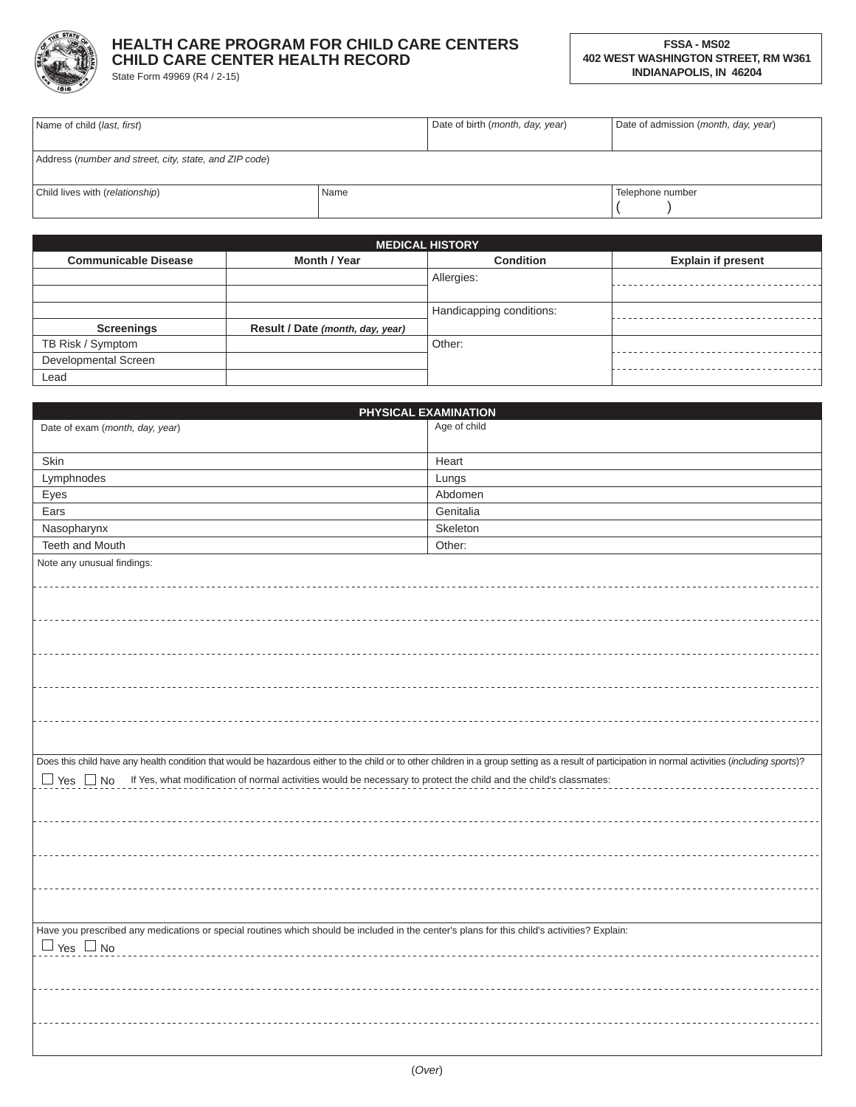

## **HEALTH CARE PROGRAM FOR CHILD CARE CENTERS CHILD CARE CENTER HEALTH RECORD**

State Form 49969 (R4 / 2-15)

| Name of child ( <i>last, first</i> )                   |      | Date of birth (month, day, year) | Date of admission (month, day, year) |
|--------------------------------------------------------|------|----------------------------------|--------------------------------------|
|                                                        |      |                                  |                                      |
| Address (number and street, city, state, and ZIP code) |      |                                  |                                      |
|                                                        |      |                                  |                                      |
| Child lives with (relationship)                        | Name |                                  | Telephone number                     |
|                                                        |      |                                  |                                      |

<u> 1980 - Johann Barbara, martxa alemaniar a</u>

|                             |                                  | <b>MEDICAL HISTORY</b>   |                           |
|-----------------------------|----------------------------------|--------------------------|---------------------------|
| <b>Communicable Disease</b> | Month / Year                     | <b>Condition</b>         | <b>Explain if present</b> |
|                             |                                  | Allergies:               |                           |
|                             |                                  |                          |                           |
|                             |                                  | Handicapping conditions: |                           |
| <b>Screenings</b>           | Result / Date (month, day, year) |                          |                           |
| TB Risk / Symptom           |                                  | Other:                   |                           |
| Developmental Screen        |                                  |                          |                           |
| Lead                        |                                  |                          |                           |

|                                                                                                                                                                                                     | PHYSICAL EXAMINATION |
|-----------------------------------------------------------------------------------------------------------------------------------------------------------------------------------------------------|----------------------|
| Date of exam (month, day, year)                                                                                                                                                                     | Age of child         |
|                                                                                                                                                                                                     |                      |
| Skin                                                                                                                                                                                                | Heart                |
| Lymphnodes                                                                                                                                                                                          | Lungs                |
| Eyes                                                                                                                                                                                                | Abdomen              |
| Ears                                                                                                                                                                                                | Genitalia            |
| Nasopharynx                                                                                                                                                                                         | Skeleton             |
| Teeth and Mouth                                                                                                                                                                                     | Other:               |
| Note any unusual findings:                                                                                                                                                                          |                      |
|                                                                                                                                                                                                     |                      |
|                                                                                                                                                                                                     |                      |
|                                                                                                                                                                                                     |                      |
|                                                                                                                                                                                                     |                      |
|                                                                                                                                                                                                     |                      |
|                                                                                                                                                                                                     |                      |
|                                                                                                                                                                                                     |                      |
|                                                                                                                                                                                                     |                      |
|                                                                                                                                                                                                     |                      |
|                                                                                                                                                                                                     |                      |
|                                                                                                                                                                                                     |                      |
| Does this child have any health condition that would be hazardous either to the child or to other children in a group setting as a result of participation in normal activities (including sports)? |                      |
| □ Yes □ No If Yes, what modification of normal activities would be necessary to protect the child and the child's classmates:                                                                       |                      |
|                                                                                                                                                                                                     |                      |
|                                                                                                                                                                                                     |                      |
|                                                                                                                                                                                                     |                      |
|                                                                                                                                                                                                     |                      |
|                                                                                                                                                                                                     |                      |
|                                                                                                                                                                                                     |                      |
|                                                                                                                                                                                                     |                      |
|                                                                                                                                                                                                     |                      |
| Have you prescribed any medications or special routines which should be included in the center's plans for this child's activities? Explain:                                                        |                      |
| $\Box$ Yes $\Box$ No                                                                                                                                                                                |                      |
|                                                                                                                                                                                                     |                      |
|                                                                                                                                                                                                     |                      |
|                                                                                                                                                                                                     |                      |
|                                                                                                                                                                                                     |                      |
|                                                                                                                                                                                                     |                      |
|                                                                                                                                                                                                     |                      |